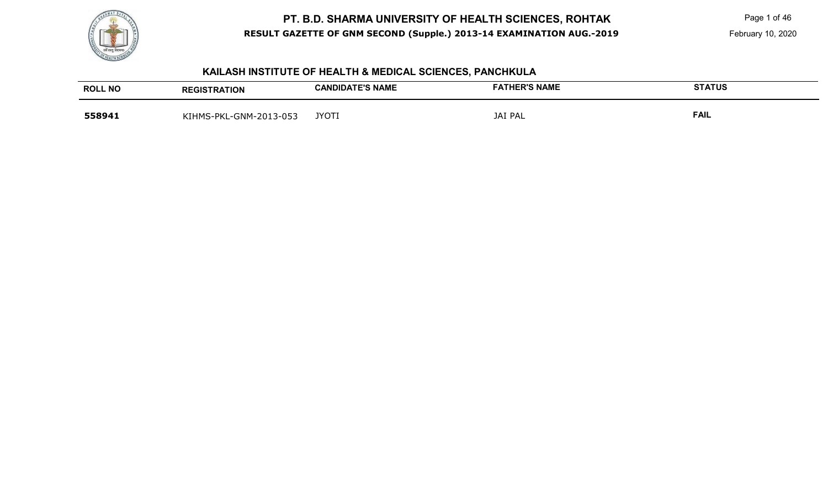

Page 1 of 46

February 10, 2020

# **KAILASH INSTITUTE OF HEALTH & MEDICAL SCIENCES, PANCHKULA**

| <b>ROLL NO</b> | <b>REGISTRATION</b>    | <b>CANDIDATE'S NAME</b> | <b>FATHER'S NAME</b> | <b>STATUS</b> |
|----------------|------------------------|-------------------------|----------------------|---------------|
| 558941         | KIHMS-PKL-GNM-2013-053 | <b>JYOTI</b>            | <b>JAI PAL</b>       | <b>FAIL</b>   |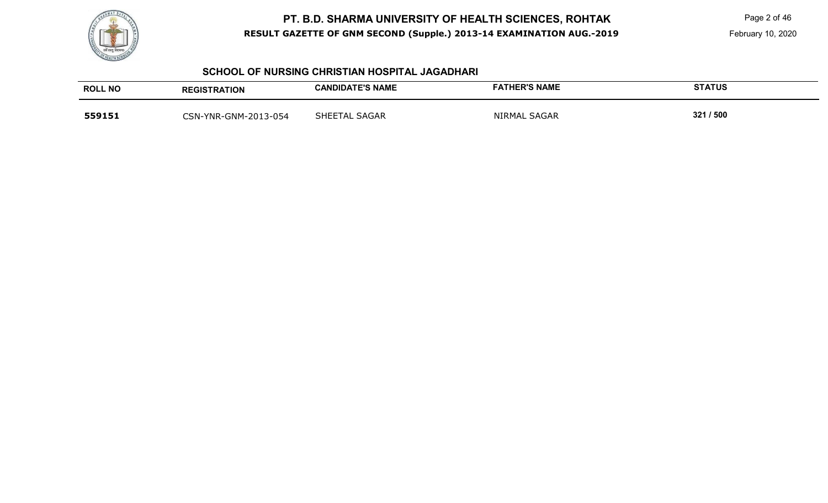

Page 2 of 46

February 10, 2020

#### **SCHOOL OF NURSING CHRISTIAN HOSPITAL JAGADHARI**

| <b>ROLL NO</b> | <b>REGISTRATION</b>  | <b>CANDIDATE'S NAME</b> | <b>FATHER'S NAME</b> | <b>STATUS</b> |
|----------------|----------------------|-------------------------|----------------------|---------------|
| 559151         | CSN-YNR-GNM-2013-054 | SHEETAL SAGAR           | NIRMAL SAGAR         | 321 / 500     |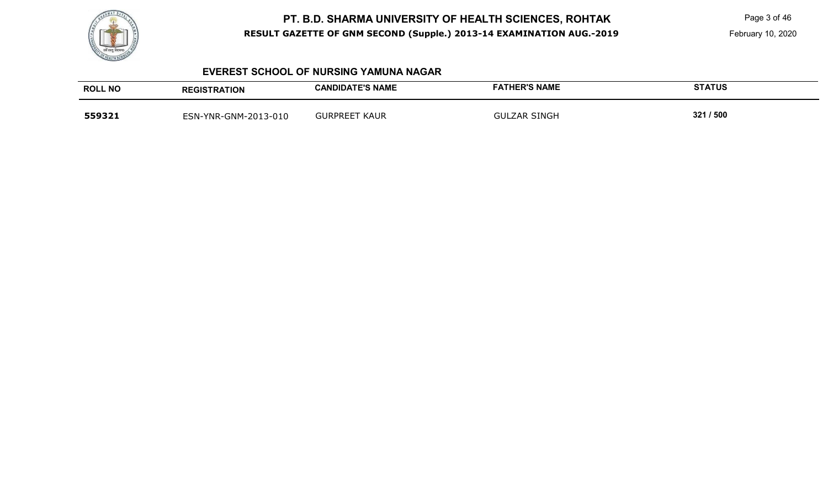

Page 3 of 46

February 10, 2020

#### **EVEREST SCHOOL OF NURSING YAMUNA NAGAR**

| <b>ROLL NO</b> | <b>REGISTRATION</b>  | <b>CANDIDATE'S NAME</b>   | <b>FATHER'S NAME</b> | <b>STATUS</b> |
|----------------|----------------------|---------------------------|----------------------|---------------|
| 559321         | ESN-YNR-GNM-2013-010 | <b>GURPREET</b><br>` KAUR | <b>GULZAR SINGH</b>  | 321 / 500     |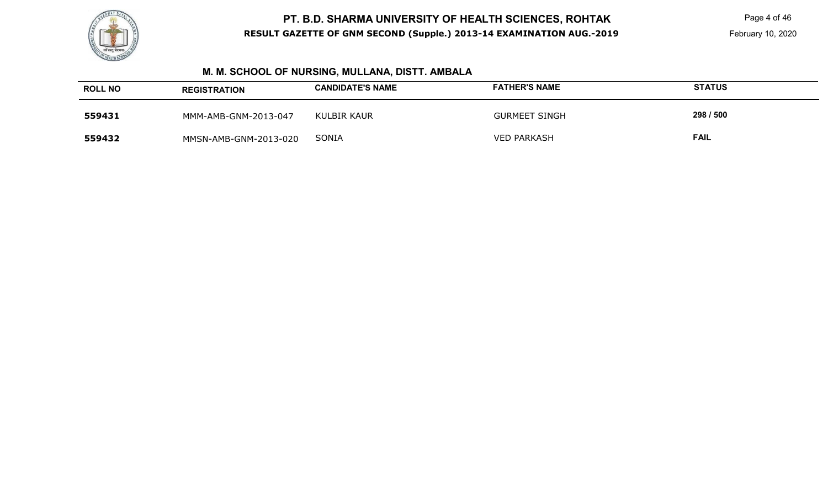

Page 4 of 46

# **M. M. SCHOOL OF NURSING, MULLANA, DISTT. AMBALA**

| <b>ROLL NO</b> | <b>REGISTRATION</b>   | <b>CANDIDATE'S NAME</b> | <b>FATHER'S NAME</b> | <b>STATUS</b> |
|----------------|-----------------------|-------------------------|----------------------|---------------|
| 559431         | MMM-AMB-GNM-2013-047  | KULBIR KAUR             | <b>GURMEET SINGH</b> | 298 / 500     |
| 559432         | MMSN-AMB-GNM-2013-020 | SONIA                   | <b>VED PARKASH</b>   | <b>FAIL</b>   |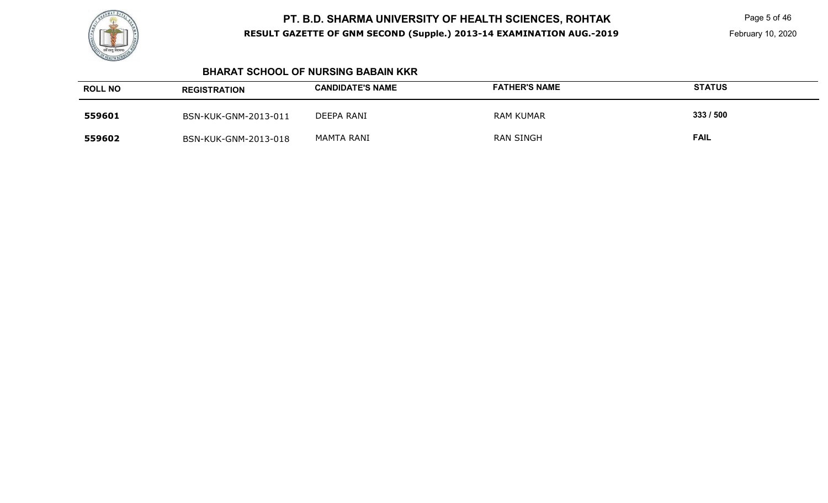

Page 5 of 46

February 10, 2020

#### **BHARAT SCHOOL OF NURSING BABAIN KKR**

| <b>ROLL NO</b> | <b>REGISTRATION</b>  | <b>CANDIDATE'S NAME</b> | <b>FATHER'S NAME</b> | <b>STATUS</b> |
|----------------|----------------------|-------------------------|----------------------|---------------|
| 559601         | BSN-KUK-GNM-2013-011 | DEEPA RANI              | RAM KUMAR            | 333/500       |
| 559602         | BSN-KUK-GNM-2013-018 | MAMTA RANI              | <b>RAN SINGH</b>     | <b>FAIL</b>   |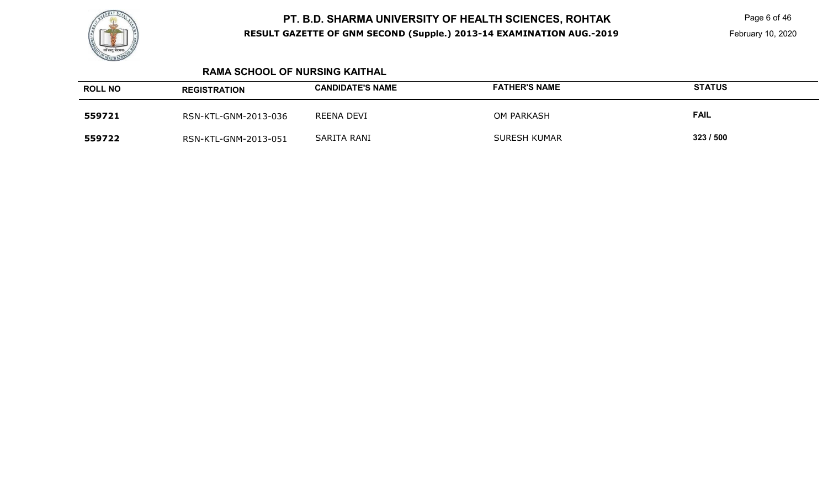

Page 6 of 46

#### **RAMA SCHOOL OF NURSING KAITHAL**

| <b>ROLL NO</b> | <b>REGISTRATION</b>  | <b>CANDIDATE'S NAME</b> | <b>FATHER'S NAME</b> | <b>STATUS</b> |
|----------------|----------------------|-------------------------|----------------------|---------------|
| 559721         | RSN-KTL-GNM-2013-036 | REENA DEVI              | OM PARKASH           | <b>FAIL</b>   |
| 559722         | RSN-KTL-GNM-2013-051 | SARITA RANI             | <b>SURESH KUMAR</b>  | 323/500       |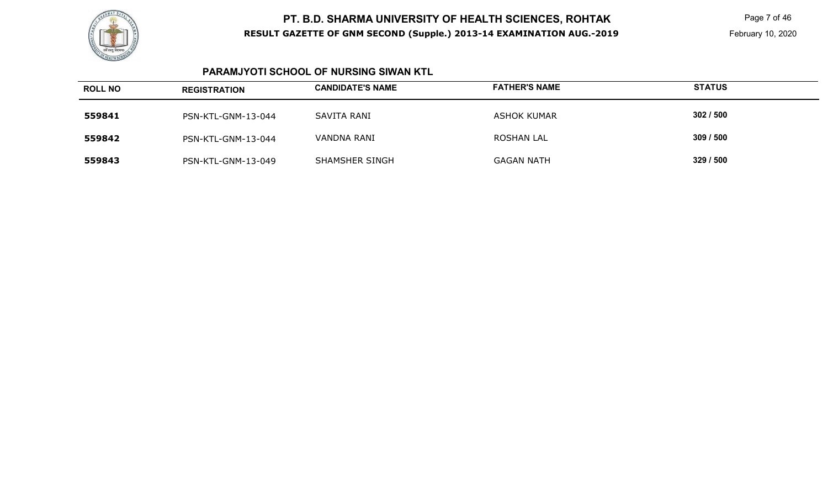

 Page 7 of 46 February 10, 2020

#### **PARAMJYOTI SCHOOL OF NURSING SIWAN KTL**

| <b>ROLL NO</b> | <b>REGISTRATION</b> | <b>CANDIDATE'S NAME</b> | <b>FATHER'S NAME</b> | <b>STATUS</b> |
|----------------|---------------------|-------------------------|----------------------|---------------|
| 559841         | PSN-KTL-GNM-13-044  | SAVITA RANI             | ASHOK KUMAR          | 302/500       |
| 559842         | PSN-KTL-GNM-13-044  | VANDNA RANI             | ROSHAN LAL           | 309/500       |
| 559843         | PSN-KTL-GNM-13-049  | SHAMSHER SINGH          | <b>GAGAN NATH</b>    | 329/500       |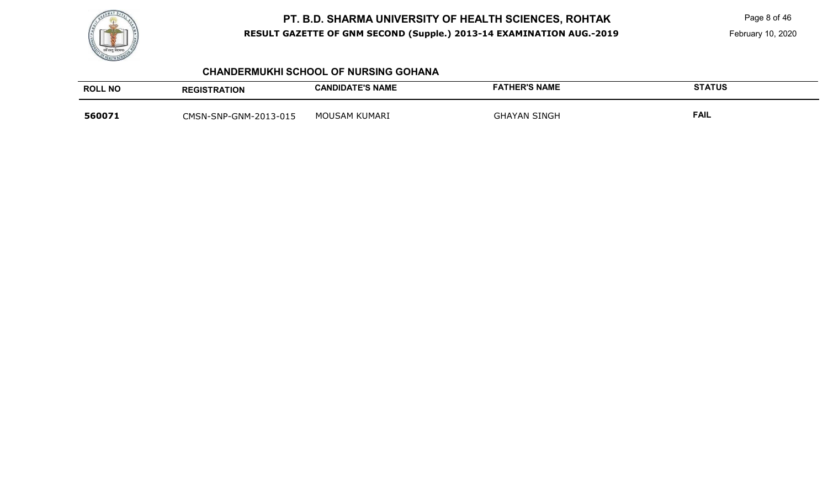

Page 8 of 46

February 10, 2020

#### **CHANDERMUKHI SCHOOL OF NURSING GOHANA**

| <b>ROLL NO</b> | <b>REGISTRATION</b>   | <b>CANDIDATE'S NAME</b> | <b>FATHER'S NAME</b> | <b>STATUS</b> |
|----------------|-----------------------|-------------------------|----------------------|---------------|
| 560071         | CMSN-SNP-GNM-2013-015 | MOUSAM KUMARI           | <b>GHAYAN SINGH</b>  | <b>FAIL</b>   |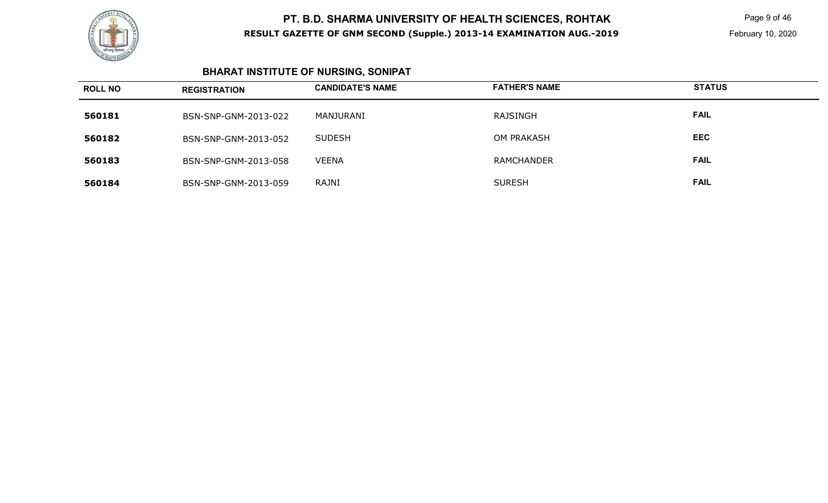

 Page 9 of 46 February 10, 2020

# **BHARAT INSTITUTE OF NURSING, SONIPAT**

| <b>ROLL NO</b> | <b>REGISTRATION</b>  | <b>CANDIDATE'S NAME</b> | <b>FATHER'S NAME</b> | <b>STATUS</b> |
|----------------|----------------------|-------------------------|----------------------|---------------|
| 560181         | BSN-SNP-GNM-2013-022 | MANJURANI               | RAJSINGH             | <b>FAIL</b>   |
| 560182         | BSN-SNP-GNM-2013-052 | <b>SUDESH</b>           | OM PRAKASH           | <b>EEC</b>    |
| 560183         | BSN-SNP-GNM-2013-058 | <b>VEENA</b>            | <b>RAMCHANDER</b>    | <b>FAIL</b>   |
| 560184         | BSN-SNP-GNM-2013-059 | <b>RAJNI</b>            | <b>SURESH</b>        | <b>FAIL</b>   |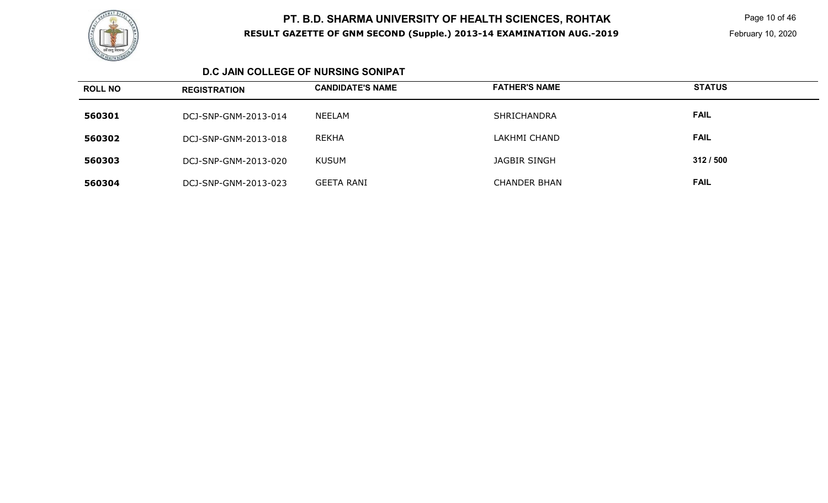

 Page 10 of 46 February 10, 2020

#### **D.C JAIN COLLEGE OF NURSING SONIPAT**

| <b>ROLL NO</b> | <b>REGISTRATION</b>  | <b>CANDIDATE'S NAME</b> | <b>FATHER'S NAME</b> | <b>STATUS</b> |
|----------------|----------------------|-------------------------|----------------------|---------------|
| 560301         | DCJ-SNP-GNM-2013-014 | NEELAM                  | <b>SHRICHANDRA</b>   | <b>FAIL</b>   |
| 560302         | DCJ-SNP-GNM-2013-018 | <b>REKHA</b>            | LAKHMI CHAND         | <b>FAIL</b>   |
| 560303         | DCJ-SNP-GNM-2013-020 | KUSUM                   | JAGBIR SINGH         | 312/500       |
| 560304         | DCJ-SNP-GNM-2013-023 | <b>GEETA RANI</b>       | <b>CHANDER BHAN</b>  | <b>FAIL</b>   |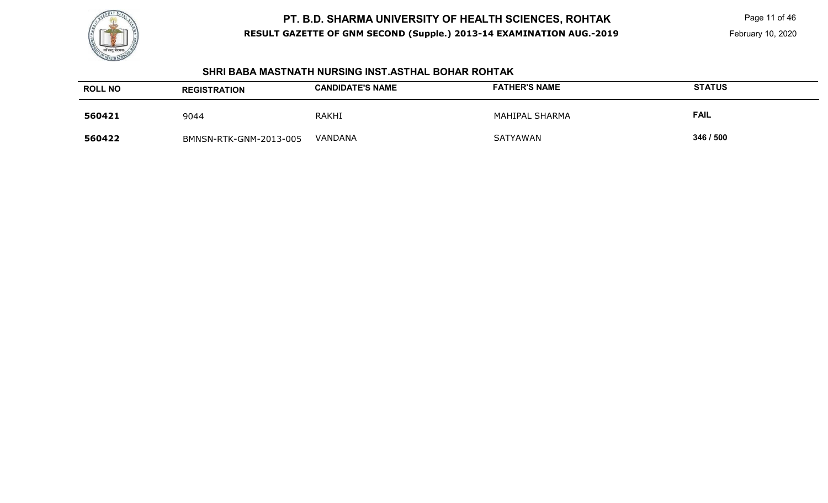

 Page 11 of 46 February 10, 2020

#### **SHRI BABA MASTNATH NURSING INST.ASTHAL BOHAR ROHTAK**

| <b>ROLL NO</b> | <b>REGISTRATION</b>    | <b>CANDIDATE'S NAME</b> | <b>FATHER'S NAME</b> | <b>STATUS</b> |
|----------------|------------------------|-------------------------|----------------------|---------------|
| 560421         | 9044                   | <b>RAKHI</b>            | MAHIPAL SHARMA       | <b>FAIL</b>   |
| 560422         | BMNSN-RTK-GNM-2013-005 | VANDANA                 | <b>SATYAWAN</b>      | 346 / 500     |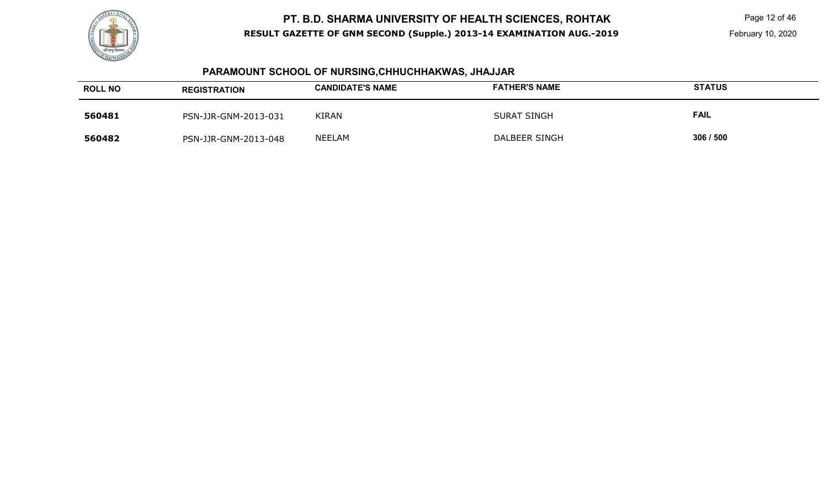

 Page 12 of 46 February 10, 2020

# **PARAMOUNT SCHOOL OF NURSING,CHHUCHHAKWAS, JHAJJAR**

| <b>ROLL NO</b> | <b>REGISTRATION</b>  | <b>CANDIDATE'S NAME</b> | <b>FATHER'S NAME</b> | <b>STATUS</b> |
|----------------|----------------------|-------------------------|----------------------|---------------|
| 560481         | PSN-JJR-GNM-2013-031 | <b>KIRAN</b>            | <b>SURAT SINGH</b>   | FAIL          |
| 560482         | PSN-JJR-GNM-2013-048 | NEELAM                  | DALBEER SINGH        | 306/500       |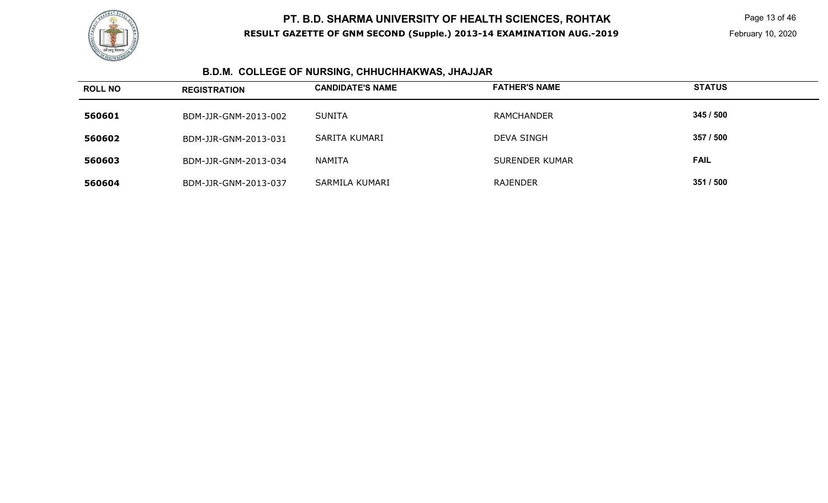

# **B.D.M. COLLEGE OF NURSING, CHHUCHHAKWAS, JHAJJAR**

| <b>ROLL NO</b> | <b>REGISTRATION</b>  | <b>CANDIDATE'S NAME</b> | <b>FATHER'S NAME</b>  | <b>STATUS</b> |
|----------------|----------------------|-------------------------|-----------------------|---------------|
| 560601         | BDM-JJR-GNM-2013-002 | <b>SUNITA</b>           | <b>RAMCHANDER</b>     | 345 / 500     |
| 560602         | BDM-JJR-GNM-2013-031 | SARITA KUMARI           | <b>DEVA SINGH</b>     | 357 / 500     |
| 560603         | BDM-JJR-GNM-2013-034 | <b>NAMITA</b>           | <b>SURENDER KUMAR</b> | <b>FAIL</b>   |
| 560604         | BDM-JJR-GNM-2013-037 | SARMILA KUMARI          | RAJENDER              | 351 / 500     |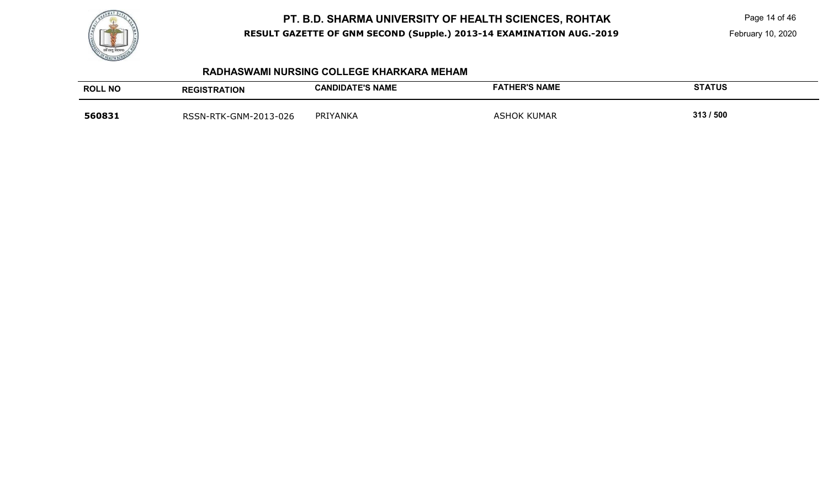

Page 14 of 46

#### **RADHASWAMI NURSING COLLEGE KHARKARA MEHAM**

| <b>ROLL NO</b> | <b>REGISTRATION</b>   | <b>CANDIDATE'S NAME</b> | <b>FATHER'S NAME</b> | <b>STATUS</b> |
|----------------|-----------------------|-------------------------|----------------------|---------------|
| 560831         | RSSN-RTK-GNM-2013-026 | PRIYANKA                | <b>ASHOK KUMAR</b>   | 313/500       |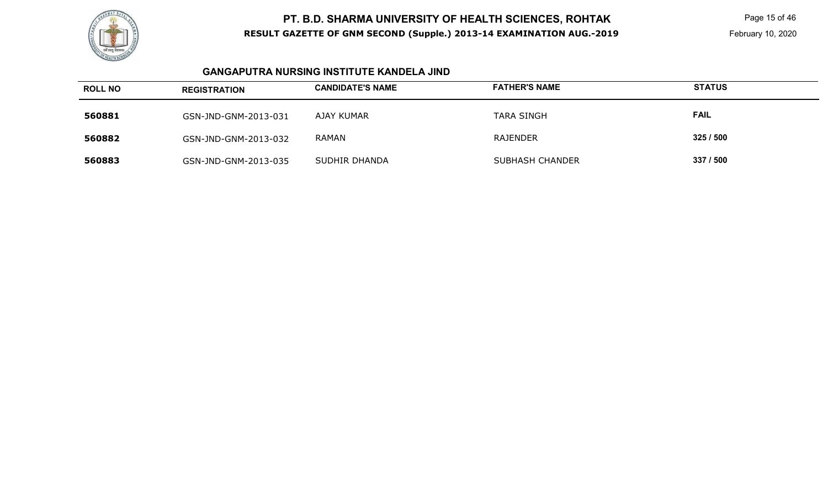

 Page 15 of 46 February 10, 2020

#### **GANGAPUTRA NURSING INSTITUTE KANDELA JIND**

| <b>ROLL NO</b> | <b>REGISTRATION</b>  | <b>CANDIDATE'S NAME</b> | <b>FATHER'S NAME</b>   | <b>STATUS</b> |
|----------------|----------------------|-------------------------|------------------------|---------------|
| 560881         | GSN-JND-GNM-2013-031 | AJAY KUMAR              | <b>TARA SINGH</b>      | <b>FAIL</b>   |
| 560882         | GSN-JND-GNM-2013-032 | RAMAN                   | RAJENDER               | 325/500       |
| 560883         | GSN-JND-GNM-2013-035 | SUDHIR DHANDA           | <b>SUBHASH CHANDER</b> | 337 / 500     |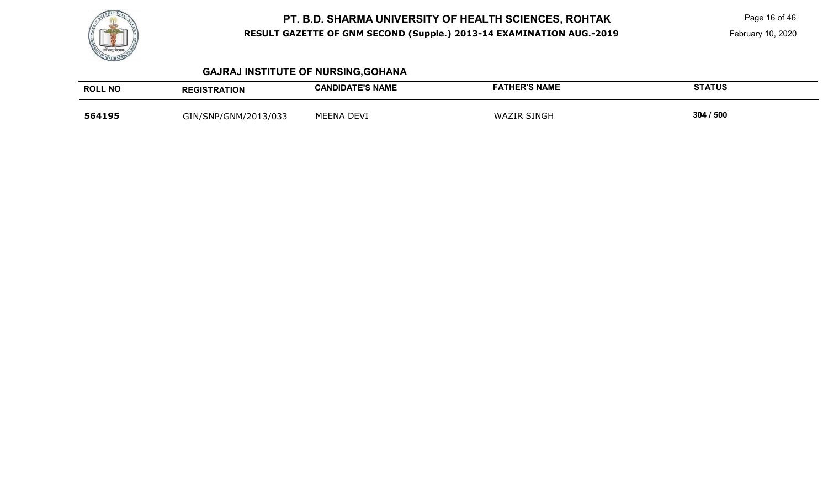

 Page 16 of 46 February 10, 2020

# **GAJRAJ INSTITUTE OF NURSING,GOHANA**

| <b>ROLL NO</b> | <b>REGISTRATION</b>  | <b>CANDIDATE'S NAME</b> | <b>FATHER'S NAME</b> | <b>STATUS</b> |
|----------------|----------------------|-------------------------|----------------------|---------------|
| 564195         | GIN/SNP/GNM/2013/033 | <b>MEENA DEVI</b>       | <b>WAZIR SINGH</b>   | 304 / 500     |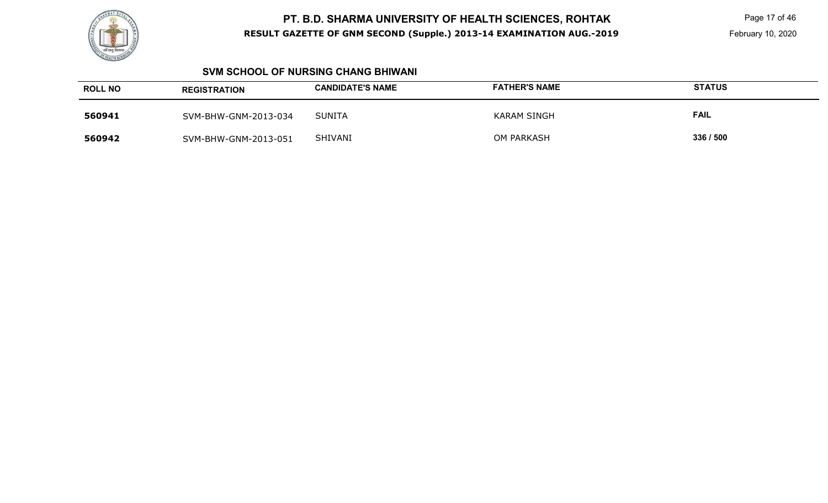

 Page 17 of 46 February 10, 2020

#### **SVM SCHOOL OF NURSING CHANG BHIWANI**

| <b>ROLL NO</b> | <b>REGISTRATION</b>  | <b>CANDIDATE'S NAME</b> | <b>FATHER'S NAME</b> | <b>STATUS</b> |
|----------------|----------------------|-------------------------|----------------------|---------------|
| 560941         | SVM-BHW-GNM-2013-034 | <b>SUNITA</b>           | KARAM SINGH          | <b>FAIL</b>   |
| 560942         | SVM-BHW-GNM-2013-051 | SHIVANI                 | OM PARKASH           | 336 / 500     |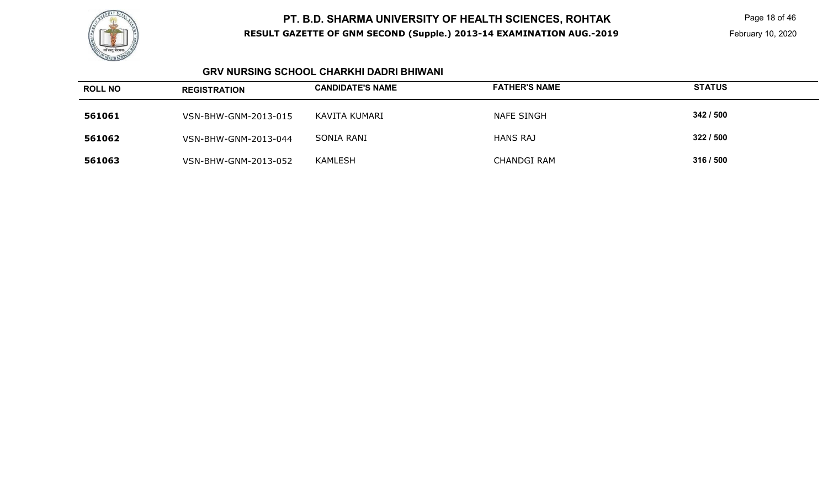

 Page 18 of 46 February 10, 2020

#### **GRV NURSING SCHOOL CHARKHI DADRI BHIWANI**

| <b>ROLL NO</b> | <b>REGISTRATION</b>  | <b>CANDIDATE'S NAME</b> | <b>FATHER'S NAME</b> | <b>STATUS</b> |
|----------------|----------------------|-------------------------|----------------------|---------------|
| 561061         | VSN-BHW-GNM-2013-015 | KAVITA KUMARI           | NAFE SINGH           | 342 / 500     |
| 561062         | VSN-BHW-GNM-2013-044 | <b>SONIA RANI</b>       | <b>HANS RAJ</b>      | 322/500       |
| 561063         | VSN-BHW-GNM-2013-052 | <b>KAMLESH</b>          | <b>CHANDGI RAM</b>   | 316 / 500     |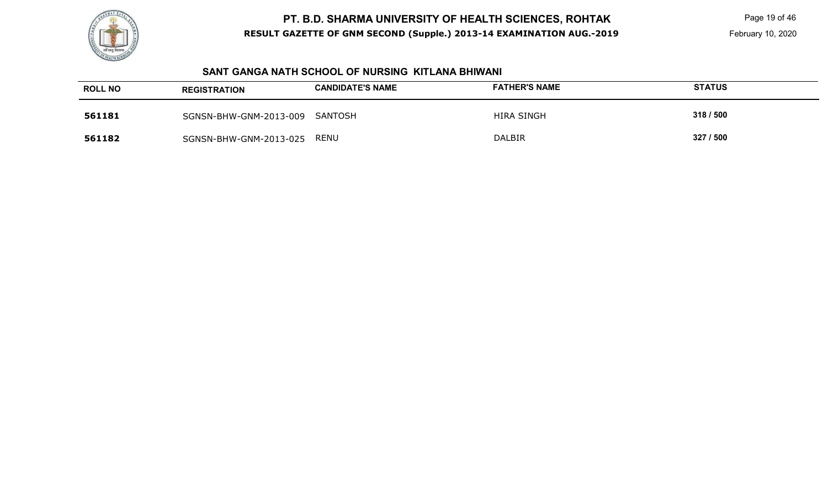

 Page 19 of 46 February 10, 2020

#### **SANT GANGA NATH SCHOOL OF NURSING KITLANA BHIWANI**

| <b>ROLL NO</b> | <b>REGISTRATION</b>    | <b>CANDIDATE'S NAME</b> | <b>FATHER'S NAME</b> | <b>STATUS</b> |
|----------------|------------------------|-------------------------|----------------------|---------------|
| 561181         | SGNSN-BHW-GNM-2013-009 | SANTOSH                 | <b>HIRA SINGH</b>    | 318 / 500     |
| 561182         | SGNSN-BHW-GNM-2013-025 | <b>RENU</b>             | <b>DALBIR</b>        | 327 / 500     |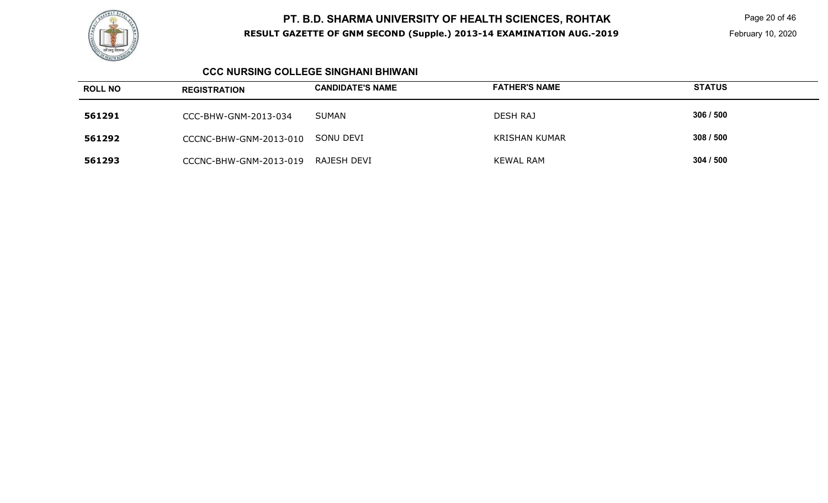

 Page 20 of 46 February 10, 2020

#### **CCC NURSING COLLEGE SINGHANI BHIWANI**

| <b>ROLL NO</b> | <b>REGISTRATION</b>    | <b>CANDIDATE'S NAME</b> | <b>FATHER'S NAME</b> | <b>STATUS</b> |
|----------------|------------------------|-------------------------|----------------------|---------------|
| 561291         | CCC-BHW-GNM-2013-034   | <b>SUMAN</b>            | <b>DESH RAJ</b>      | 306/500       |
| 561292         | CCCNC-BHW-GNM-2013-010 | SONU DEVI               | <b>KRISHAN KUMAR</b> | 308/500       |
| 561293         | CCCNC-BHW-GNM-2013-019 | RAJESH DEVI             | <b>KEWAL RAM</b>     | 304/500       |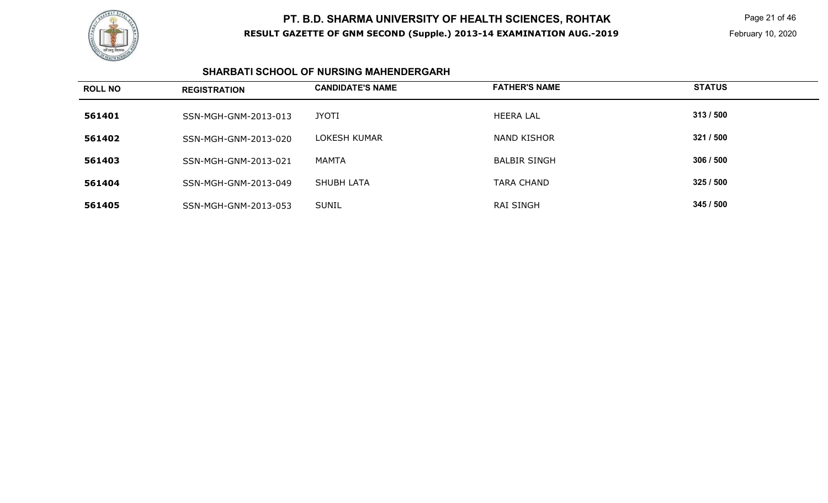

 Page 21 of 46 February 10, 2020

#### **SHARBATI SCHOOL OF NURSING MAHENDERGARH**

| <b>ROLL NO</b> | <b>REGISTRATION</b>  | <b>CANDIDATE'S NAME</b> | <b>FATHER'S NAME</b> | <b>STATUS</b> |
|----------------|----------------------|-------------------------|----------------------|---------------|
| 561401         | SSN-MGH-GNM-2013-013 | <b>JYOTI</b>            | <b>HEERA LAL</b>     | 313/500       |
| 561402         | SSN-MGH-GNM-2013-020 | LOKESH KUMAR            | <b>NAND KISHOR</b>   | 321 / 500     |
| 561403         | SSN-MGH-GNM-2013-021 | MAMTA                   | <b>BALBIR SINGH</b>  | 306/500       |
| 561404         | SSN-MGH-GNM-2013-049 | <b>SHUBH LATA</b>       | <b>TARA CHAND</b>    | 325/500       |
| 561405         | SSN-MGH-GNM-2013-053 | <b>SUNIL</b>            | <b>RAI SINGH</b>     | 345 / 500     |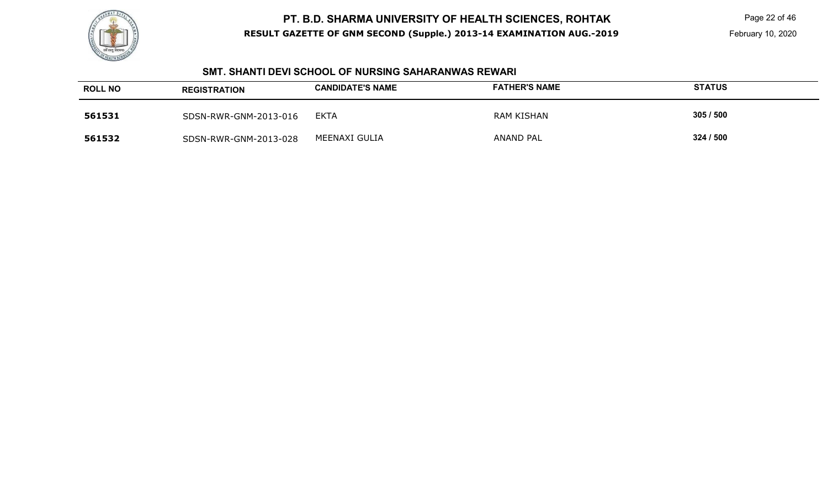

 Page 22 of 46 February 10, 2020

#### **SMT. SHANTI DEVI SCHOOL OF NURSING SAHARANWAS REWARI**

| <b>ROLL NO</b> | <b>REGISTRATION</b>   | <b>CANDIDATE'S NAME</b> | <b>FATHER'S NAME</b> | <b>STATUS</b> |
|----------------|-----------------------|-------------------------|----------------------|---------------|
| 561531         | SDSN-RWR-GNM-2013-016 | <b>EKTA</b>             | RAM KISHAN           | 305/500       |
| 561532         | SDSN-RWR-GNM-2013-028 | MEENAXI GULIA           | <b>ANAND PAL</b>     | 324 / 500     |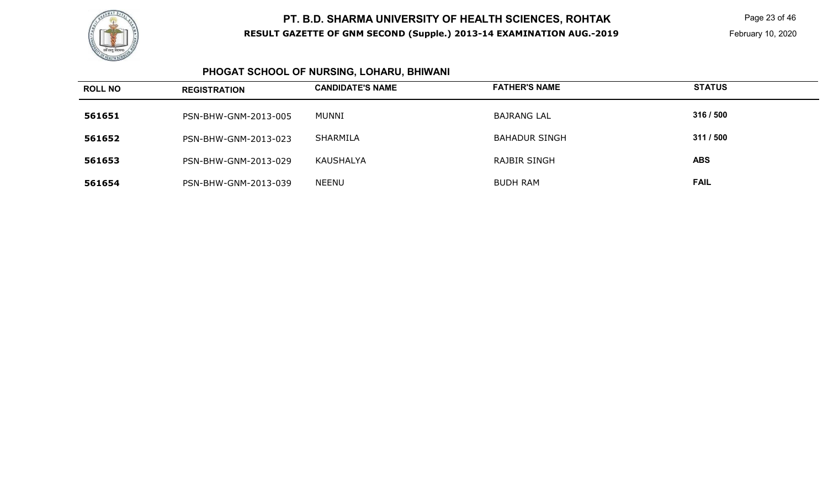

 Page 23 of 46 February 10, 2020

#### **PHOGAT SCHOOL OF NURSING, LOHARU, BHIWANI**

| <b>ROLL NO</b> | <b>REGISTRATION</b>  | <b>CANDIDATE'S NAME</b> | <b>FATHER'S NAME</b> | <b>STATUS</b> |
|----------------|----------------------|-------------------------|----------------------|---------------|
| 561651         | PSN-BHW-GNM-2013-005 | MUNNI                   | <b>BAJRANG LAL</b>   | 316 / 500     |
| 561652         | PSN-BHW-GNM-2013-023 | SHARMILA                | <b>BAHADUR SINGH</b> | 311 / 500     |
| 561653         | PSN-BHW-GNM-2013-029 | KAUSHALYA               | RAJBIR SINGH         | <b>ABS</b>    |
| 561654         | PSN-BHW-GNM-2013-039 | <b>NEENU</b>            | <b>BUDH RAM</b>      | <b>FAIL</b>   |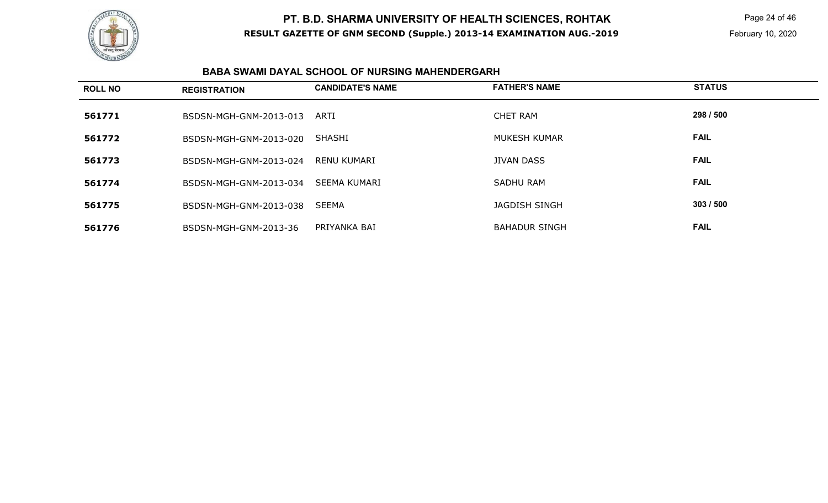

 Page 24 of 46 February 10, 2020

#### **BABA SWAMI DAYAL SCHOOL OF NURSING MAHENDERGARH**

| <b>ROLL NO</b> | <b>REGISTRATION</b>    | <b>CANDIDATE'S NAME</b> | <b>FATHER'S NAME</b> | <b>STATUS</b> |
|----------------|------------------------|-------------------------|----------------------|---------------|
| 561771         | BSDSN-MGH-GNM-2013-013 | ARTI                    | <b>CHET RAM</b>      | 298 / 500     |
| 561772         | BSDSN-MGH-GNM-2013-020 | <b>SHASHI</b>           | MUKESH KUMAR         | <b>FAIL</b>   |
| 561773         | BSDSN-MGH-GNM-2013-024 | RENU KUMARI             | <b>JIVAN DASS</b>    | <b>FAIL</b>   |
| 561774         | BSDSN-MGH-GNM-2013-034 | SEEMA KUMARI            | SADHU RAM            | <b>FAIL</b>   |
| 561775         | BSDSN-MGH-GNM-2013-038 | <b>SEEMA</b>            | JAGDISH SINGH        | 303/500       |
| 561776         | BSDSN-MGH-GNM-2013-36  | PRIYANKA BAI            | <b>BAHADUR SINGH</b> | <b>FAIL</b>   |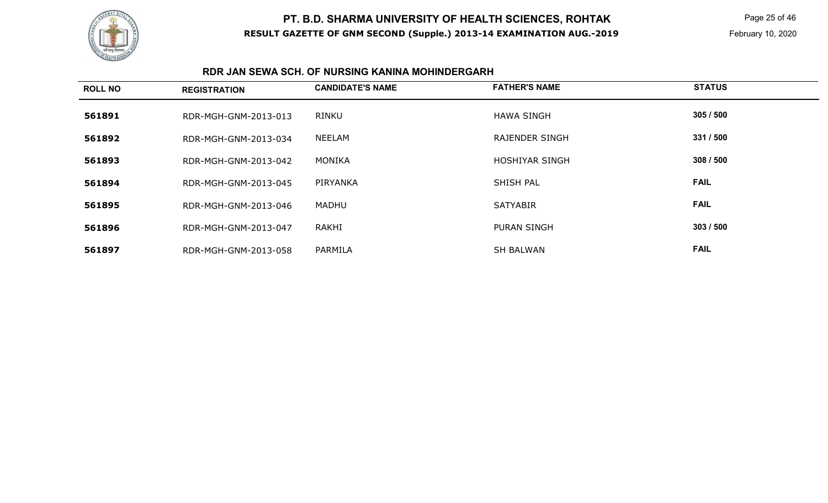

 Page 25 of 46 February 10, 2020

#### **RDR JAN SEWA SCH. OF NURSING KANINA MOHINDERGARH**

| <b>ROLL NO</b> | <b>REGISTRATION</b>  | <b>CANDIDATE'S NAME</b> | <b>FATHER'S NAME</b>  | <b>STATUS</b> |
|----------------|----------------------|-------------------------|-----------------------|---------------|
| 561891         | RDR-MGH-GNM-2013-013 | RINKU                   | <b>HAWA SINGH</b>     | 305/500       |
| 561892         | RDR-MGH-GNM-2013-034 | NEELAM                  | <b>RAJENDER SINGH</b> | 331 / 500     |
| 561893         | RDR-MGH-GNM-2013-042 | MONIKA                  | HOSHIYAR SINGH        | 308/500       |
| 561894         | RDR-MGH-GNM-2013-045 | PIRYANKA                | SHISH PAL             | <b>FAIL</b>   |
| 561895         | RDR-MGH-GNM-2013-046 | MADHU                   | <b>SATYABIR</b>       | <b>FAIL</b>   |
| 561896         | RDR-MGH-GNM-2013-047 | RAKHI                   | <b>PURAN SINGH</b>    | 303 / 500     |
| 561897         | RDR-MGH-GNM-2013-058 | PARMILA                 | <b>SH BALWAN</b>      | <b>FAIL</b>   |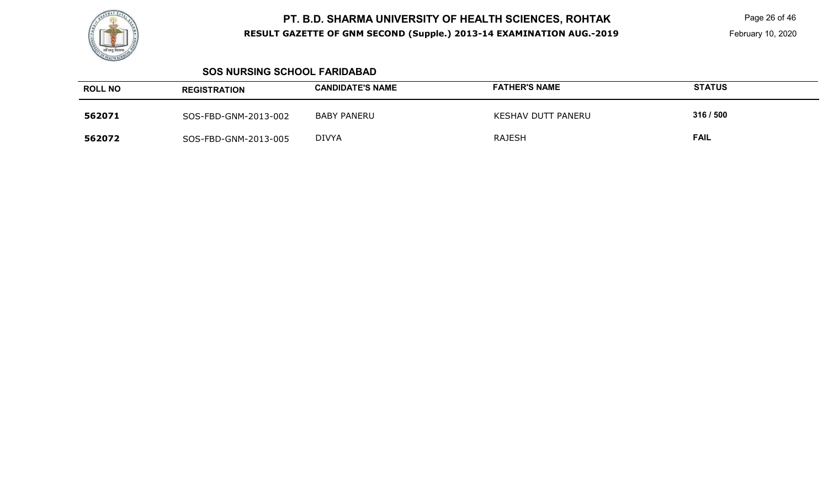

 Page 26 of 46 February 10, 2020

#### **SOS NURSING SCHOOL FARIDABAD**

| <b>ROLL NO</b> | <b>REGISTRATION</b>  | <b>CANDIDATE'S NAME</b> | <b>FATHER'S NAME</b> | <b>STATUS</b> |
|----------------|----------------------|-------------------------|----------------------|---------------|
| 562071         | SOS-FBD-GNM-2013-002 | <b>BABY PANERU</b>      | KESHAV DUTT PANERU   | 316 / 500     |
| 562072         | SOS-FBD-GNM-2013-005 | <b>DIVYA</b>            | <b>RAJESH</b>        | <b>FAIL</b>   |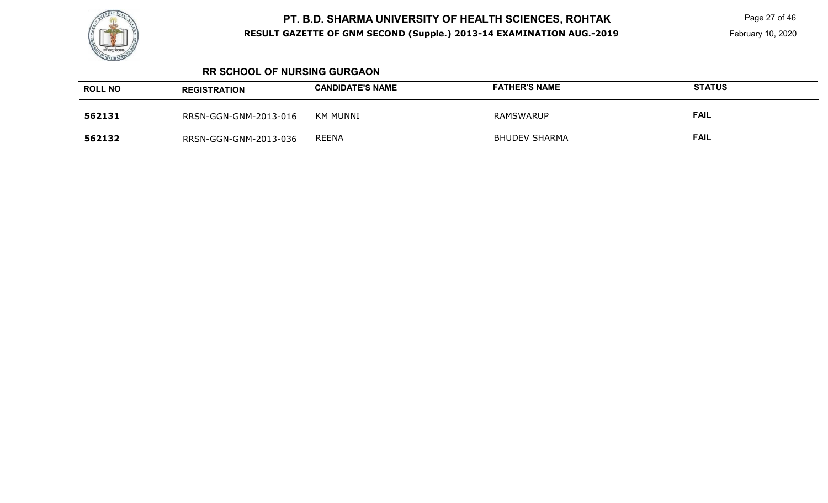

 Page 27 of 46 February 10, 2020

#### **RR SCHOOL OF NURSING GURGAON**

| <b>ROLL NO</b> | <b>REGISTRATION</b>   | <b>CANDIDATE'S NAME</b> | <b>FATHER'S NAME</b> | <b>STATUS</b> |
|----------------|-----------------------|-------------------------|----------------------|---------------|
| 562131         | RRSN-GGN-GNM-2013-016 | KM MUNNI                | RAMSWARUP            | <b>FAIL</b>   |
| 562132         | RRSN-GGN-GNM-2013-036 | <b>REENA</b>            | <b>BHUDEV SHARMA</b> | <b>FAIL</b>   |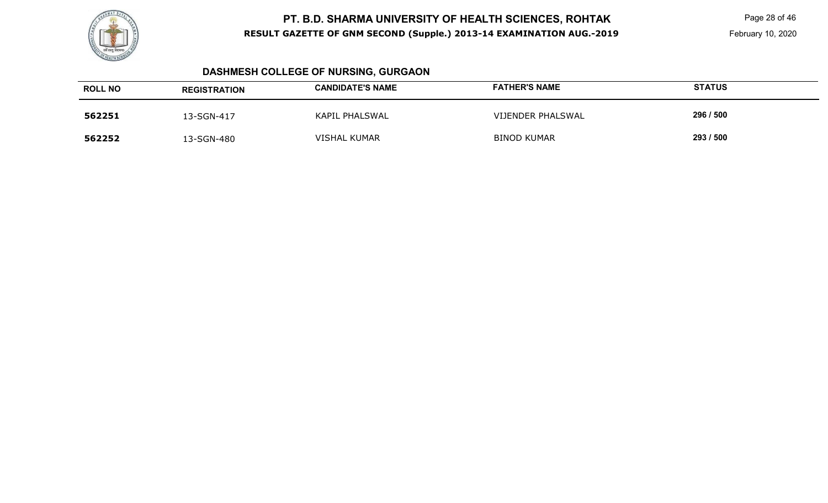

 Page 28 of 46 February 10, 2020

# **DASHMESH COLLEGE OF NURSING, GURGAON**

| <b>ROLL NO</b> | <b>REGISTRATION</b> | <b>CANDIDATE'S NAME</b> | <b>FATHER'S NAME</b> | <b>STATUS</b> |
|----------------|---------------------|-------------------------|----------------------|---------------|
| 562251         | 13-SGN-417          | <b>KAPIL PHALSWAL</b>   | VIJENDER PHALSWAL    | 296 / 500     |
| 562252         | 13-SGN-480          | <b>VISHAL KUMAR</b>     | <b>BINOD KUMAR</b>   | 293 / 500     |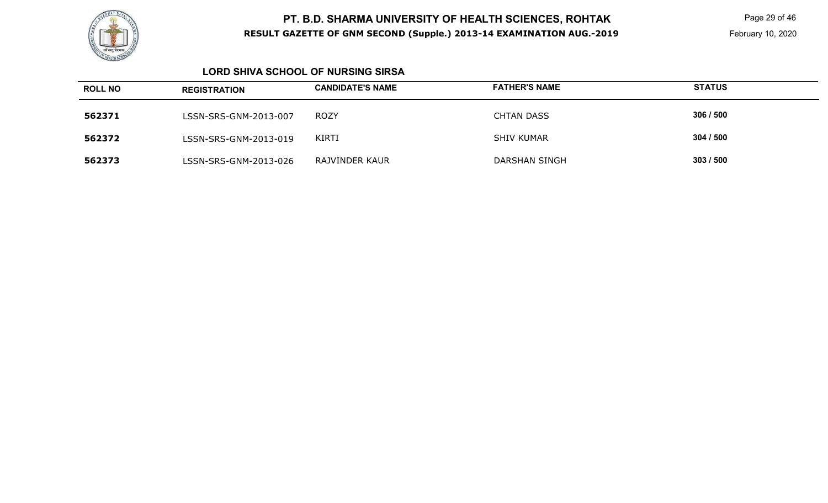

 Page 29 of 46 February 10, 2020

#### **LORD SHIVA SCHOOL OF NURSING SIRSA**

| <b>ROLL NO</b> | <b>REGISTRATION</b>   | <b>CANDIDATE'S NAME</b> | <b>FATHER'S NAME</b> | <b>STATUS</b> |
|----------------|-----------------------|-------------------------|----------------------|---------------|
| 562371         | LSSN-SRS-GNM-2013-007 | <b>ROZY</b>             | <b>CHTAN DASS</b>    | 306 / 500     |
| 562372         | LSSN-SRS-GNM-2013-019 | <b>KIRTI</b>            | <b>SHIV KUMAR</b>    | 304/500       |
| 562373         | LSSN-SRS-GNM-2013-026 | RAJVINDER KAUR          | <b>DARSHAN SINGH</b> | 303/500       |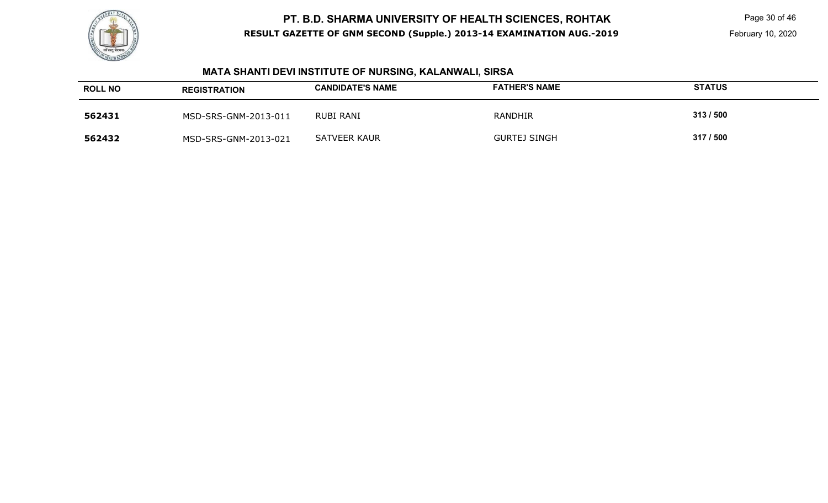

 Page 30 of 46 February 10, 2020

# **MATA SHANTI DEVI INSTITUTE OF NURSING, KALANWALI, SIRSA**

| <b>ROLL NO</b> | <b>REGISTRATION</b>  | <b>CANDIDATE'S NAME</b> | <b>FATHER'S NAME</b> | <b>STATUS</b> |
|----------------|----------------------|-------------------------|----------------------|---------------|
| 562431         | MSD-SRS-GNM-2013-011 | RUBI RANI               | RANDHIR              | 313/500       |
| 562432         | MSD-SRS-GNM-2013-021 | <b>SATVEER KAUR</b>     | GURTEJ SINGH         | 317 / 500     |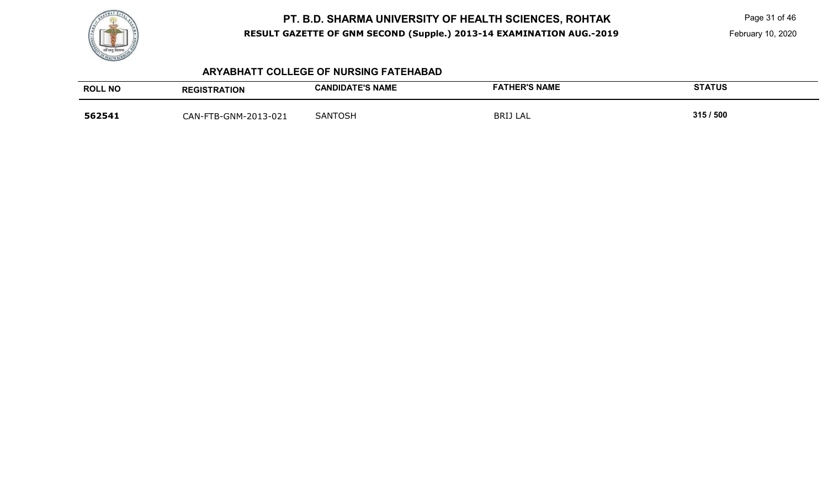

Page 31 of 46

February 10, 2020

#### **ARYABHATT COLLEGE OF NURSING FATEHABAD**

| <b>ROLL NO</b> | <b>REGISTRATION</b>        | <b>CANDIDATE'S NAME</b> | <b>FATHER'S NAME</b> | <b>STATUS</b> |
|----------------|----------------------------|-------------------------|----------------------|---------------|
| 562541         | -FTB-GNM-2013-021<br>ิAN-F | SANTOSH                 | BRIJ LAL             | 315/500       |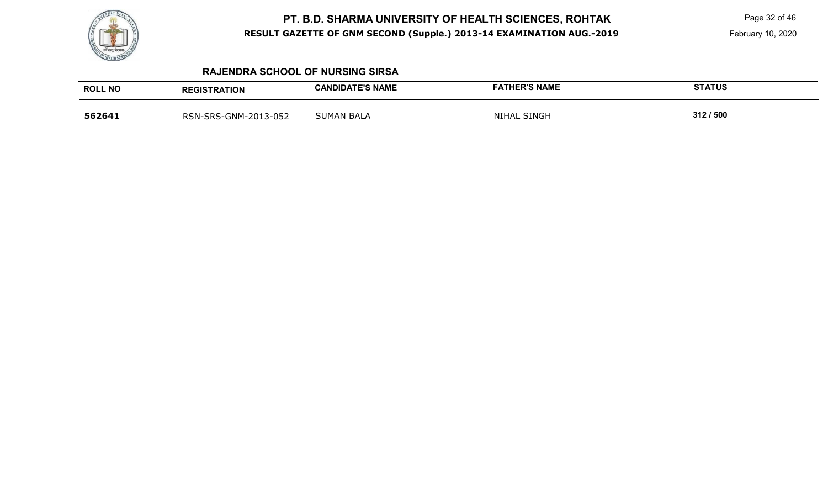

Page 32 of 46

#### **RAJENDRA SCHOOL OF NURSING SIRSA**

| <b>ROLL NO</b> | <b>REGISTRATION</b>  | <b>CANDIDATE'S NAME</b> | <b>FATHER'S NAME</b>    | <b>STATUS</b> |
|----------------|----------------------|-------------------------|-------------------------|---------------|
| 562641         | RSN-SRS-GNM-2013-052 | <b>SUMAN BALA</b>       | <b>NIHAL</b><br>. SINGH | 312/500       |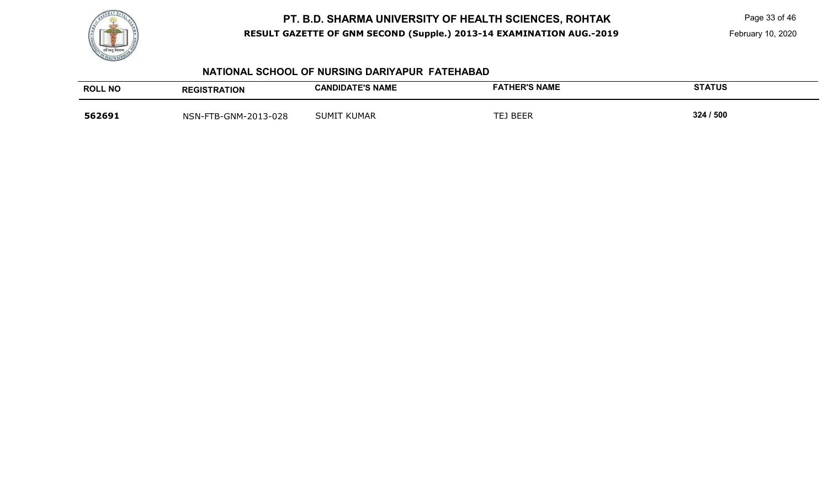

Page 33 of 46

#### **NATIONAL SCHOOL OF NURSING DARIYAPUR FATEHABAD**

| <b>ROLL NO</b> | <b>REGISTRATION</b>  | <b>CANDIDATE'S NAME</b> | <b>FATHER'S NAME</b> | <b>STATUS</b> |
|----------------|----------------------|-------------------------|----------------------|---------------|
| 562691         | NSN-FTB-GNM-2013-028 | <b>SUMIT KUMAR</b>      | TEJ BEER             | 324 / 500     |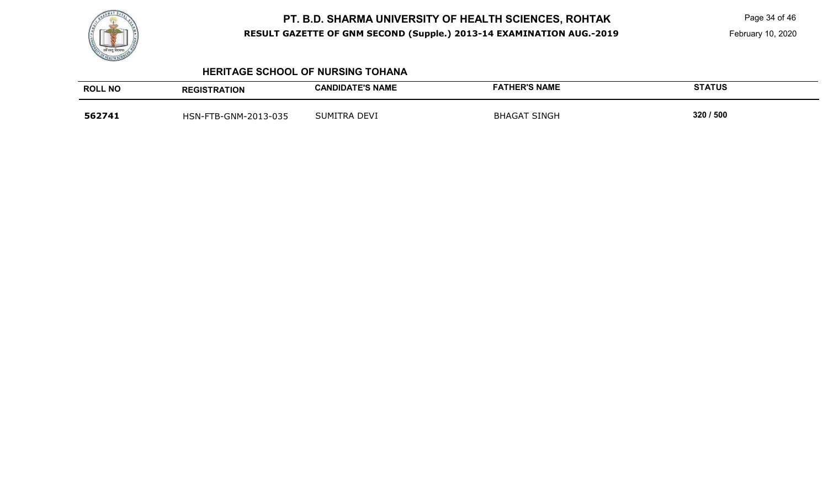

Page 34 of 46

#### **HERITAGE SCHOOL OF NURSING TOHANA**

| <b>ROLL NO</b> | <b>REGISTRATION</b>  | <b>CANDIDATE'S NAME</b> | <b>FATHER'S NAME</b> | <b>STATUS</b> |
|----------------|----------------------|-------------------------|----------------------|---------------|
| 562741         | HSN-FTB-GNM-2013-035 | SUMITRA DEVI            | <b>BHAGAT SINGH</b>  | 320 / 500     |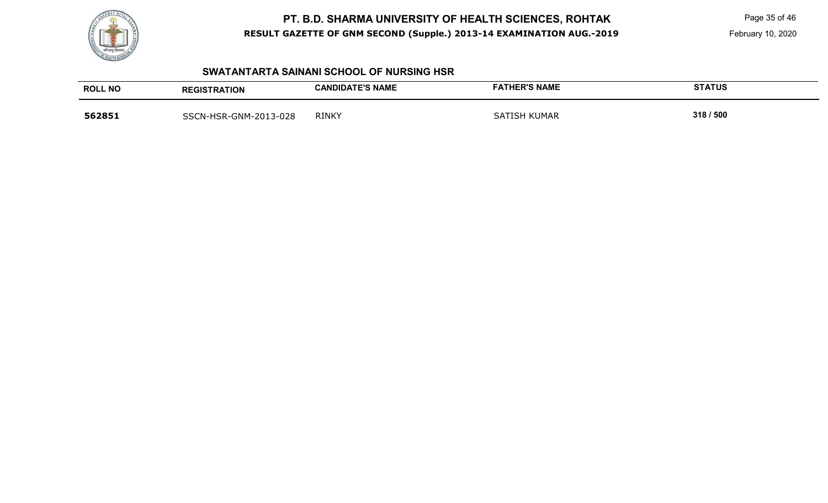

Page 35 of 46

February 10, 2020

#### **SWATANTARTA SAINANI SCHOOL OF NURSING HSR**

| <b>ROLL NO</b> | <b>REGISTRATION</b>   | <b>CANDIDATE'S NAME</b> | <b>FATHER'S NAME</b> | <b>STATUS</b> |
|----------------|-----------------------|-------------------------|----------------------|---------------|
| 562851         | SSCN-HSR-GNM-2013-028 | <b>RINKY</b>            | I KUMAR<br>SATISH    | 318 / 500     |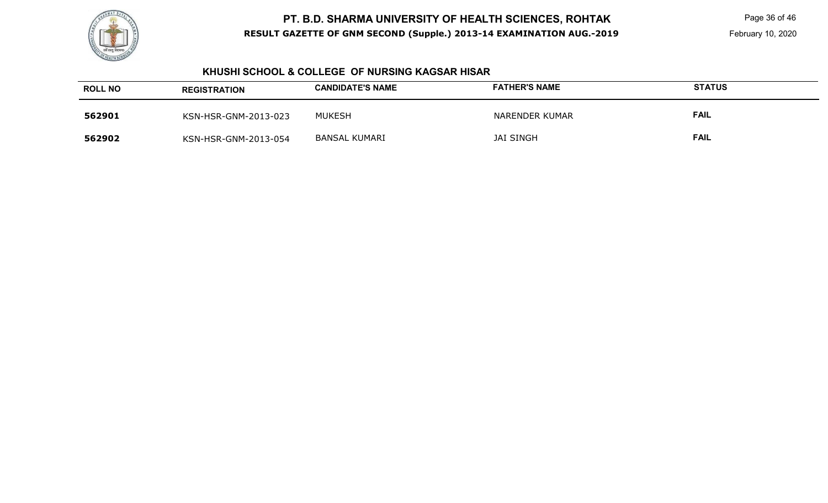

#### **KHUSHI SCHOOL & COLLEGE OF NURSING KAGSAR HISAR**

| <b>ROLL NO</b> | <b>REGISTRATION</b>  | <b>CANDIDATE'S NAME</b> | <b>FATHER'S NAME</b> | <b>STATUS</b> |
|----------------|----------------------|-------------------------|----------------------|---------------|
| 562901         | KSN-HSR-GNM-2013-023 | <b>MUKESH</b>           | NARENDER KUMAR       | <b>FAIL</b>   |
| 562902         | KSN-HSR-GNM-2013-054 | <b>BANSAL KUMARI</b>    | <b>JAI SINGH</b>     | <b>FAIL</b>   |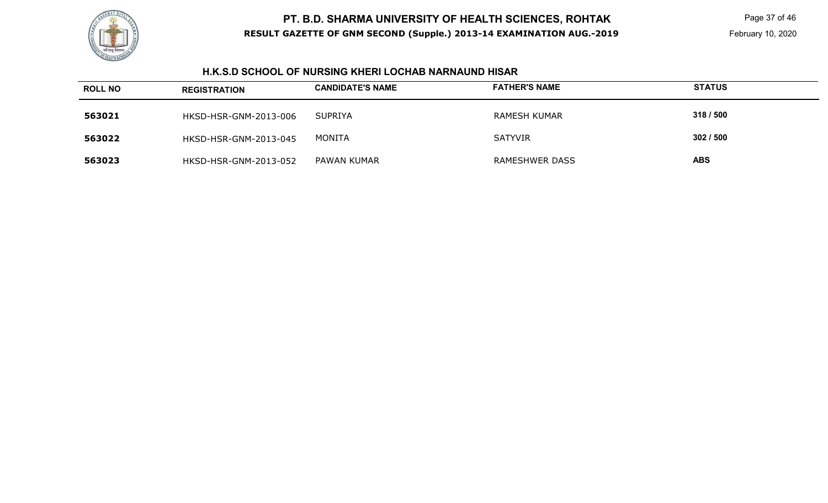

 Page 37 of 46 February 10, 2020

#### **H.K.S.D SCHOOL OF NURSING KHERI LOCHAB NARNAUND HISAR**

| <b>ROLL NO</b> | <b>REGISTRATION</b>   | <b>CANDIDATE'S NAME</b> | <b>FATHER'S NAME</b> | <b>STATUS</b> |
|----------------|-----------------------|-------------------------|----------------------|---------------|
| 563021         | HKSD-HSR-GNM-2013-006 | SUPRIYA                 | <b>RAMESH KUMAR</b>  | 318 / 500     |
| 563022         | HKSD-HSR-GNM-2013-045 | MONITA                  | <b>SATYVIR</b>       | 302/500       |
| 563023         | HKSD-HSR-GNM-2013-052 | PAWAN KUMAR             | RAMESHWER DASS       | <b>ABS</b>    |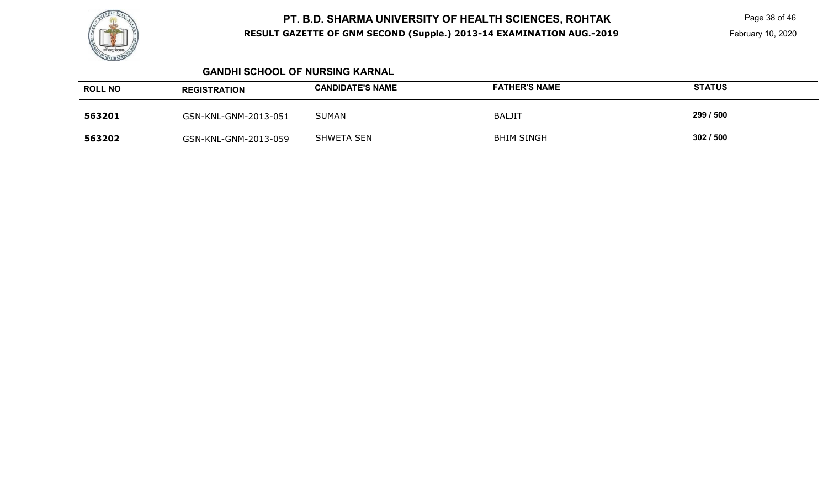

 Page 38 of 46 February 10, 2020

#### **GANDHI SCHOOL OF NURSING KARNAL**

| <b>ROLL NO</b> | <b>REGISTRATION</b>  | <b>CANDIDATE'S NAME</b> | <b>FATHER'S NAME</b> | <b>STATUS</b> |
|----------------|----------------------|-------------------------|----------------------|---------------|
| 563201         | GSN-KNL-GNM-2013-051 | <b>SUMAN</b>            | <b>BALJIT</b>        | 299 / 500     |
| 563202         | GSN-KNL-GNM-2013-059 | <b>SHWETA SEN</b>       | <b>BHIM SINGH</b>    | 302/500       |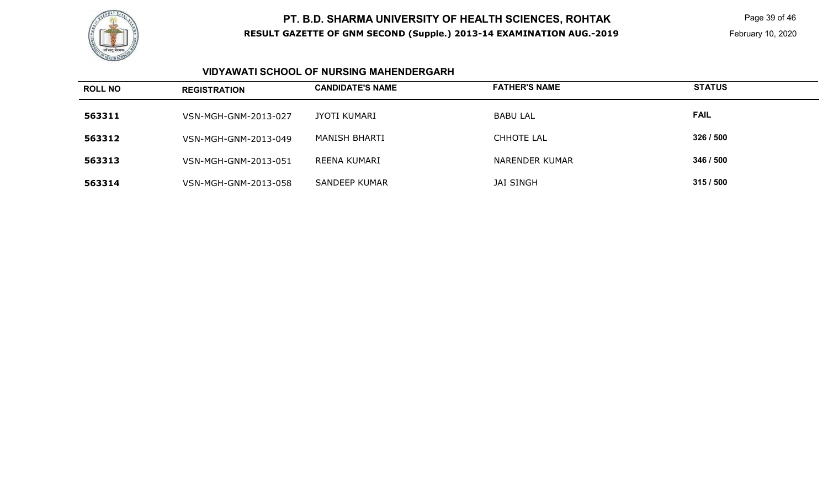

 Page 39 of 46 February 10, 2020

#### **VIDYAWATI SCHOOL OF NURSING MAHENDERGARH**

| <b>ROLL NO</b> | <b>REGISTRATION</b>  | <b>CANDIDATE'S NAME</b> | <b>FATHER'S NAME</b> | <b>STATUS</b> |
|----------------|----------------------|-------------------------|----------------------|---------------|
| 563311         | VSN-MGH-GNM-2013-027 | JYOTI KUMARI            | <b>BABU LAL</b>      | <b>FAIL</b>   |
| 563312         | VSN-MGH-GNM-2013-049 | MANISH BHARTI           | CHHOTE LAL           | 326 / 500     |
| 563313         | VSN-MGH-GNM-2013-051 | REENA KUMARI            | NARENDER KUMAR       | 346 / 500     |
| 563314         | VSN-MGH-GNM-2013-058 | <b>SANDEEP KUMAR</b>    | <b>JAI SINGH</b>     | 315/500       |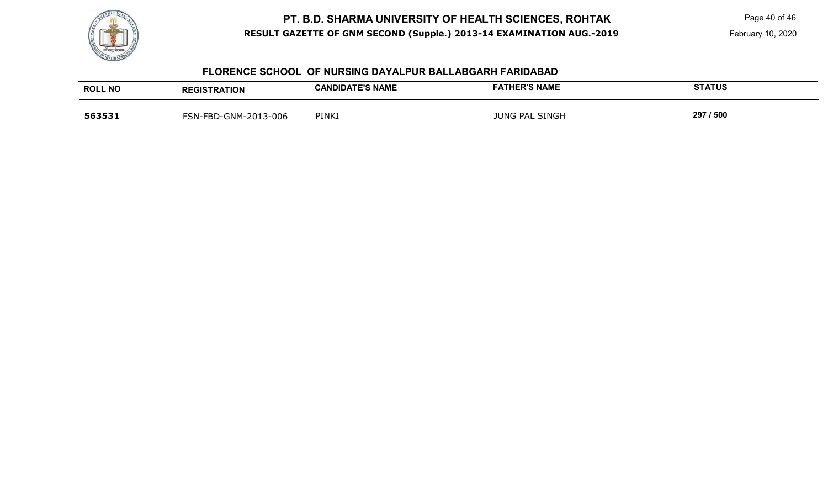

Page 40 of 46

#### **FLORENCE SCHOOL OF NURSING DAYALPUR BALLABGARH FARIDABAD**

| <b>ROLL NO</b> | <b>REGISTRATION</b>  | <b>CANDIDATE'S NAME</b> | <b>FATHER'S NAME</b> | <b>STATUS</b> |
|----------------|----------------------|-------------------------|----------------------|---------------|
| 563531         | FSN-FBD-GNM-2013-006 | PINKI                   | JUNG PAL SINGH       | 297 / 500     |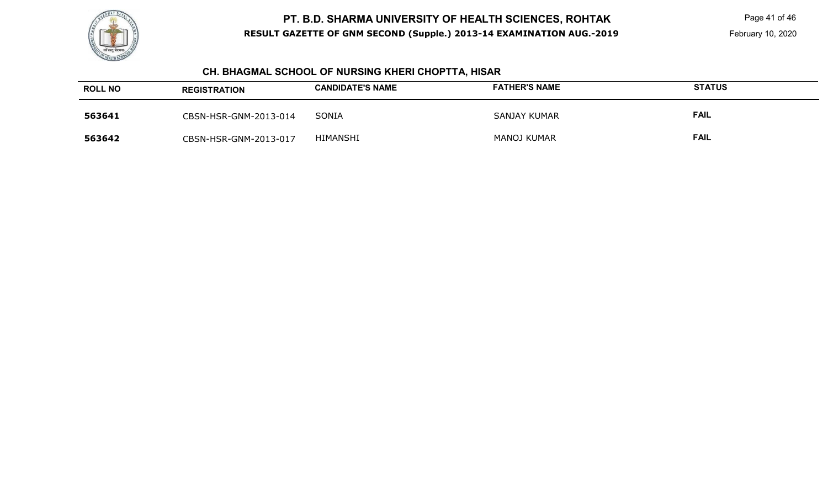

 Page 41 of 46 February 10, 2020

# **CH. BHAGMAL SCHOOL OF NURSING KHERI CHOPTTA, HISAR**

| <b>ROLL NO</b> | <b>REGISTRATION</b>   | <b>CANDIDATE'S NAME</b> | <b>FATHER'S NAME</b> | <b>STATUS</b> |
|----------------|-----------------------|-------------------------|----------------------|---------------|
| 563641         | CBSN-HSR-GNM-2013-014 | SONIA                   | SANJAY KUMAR         | <b>FAIL</b>   |
| 563642         | CBSN-HSR-GNM-2013-017 | HIMANSHI                | <b>MANOJ KUMAR</b>   | <b>FAIL</b>   |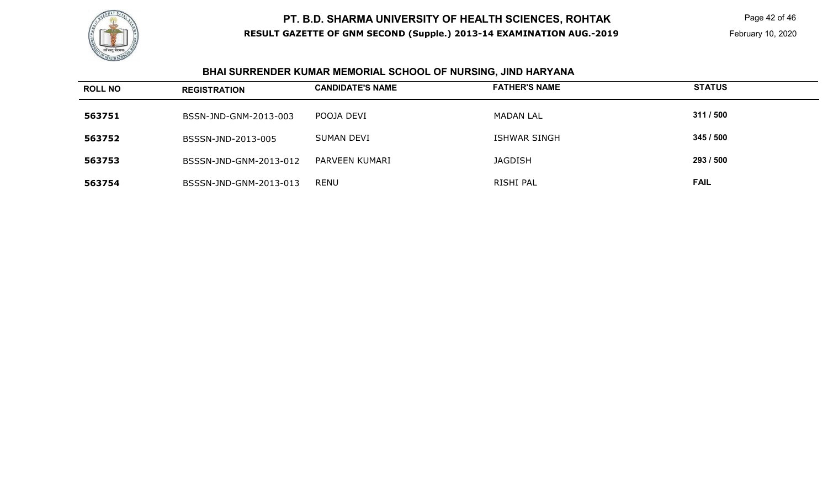

# **BHAI SURRENDER KUMAR MEMORIAL SCHOOL OF NURSING, JIND HARYANA**

| <b>ROLL NO</b> | <b>REGISTRATION</b>    | <b>CANDIDATE'S NAME</b> | <b>FATHER'S NAME</b> | <b>STATUS</b> |
|----------------|------------------------|-------------------------|----------------------|---------------|
| 563751         | BSSN-JND-GNM-2013-003  | POOJA DEVI              | <b>MADAN LAL</b>     | 311 / 500     |
| 563752         | BSSSN-JND-2013-005     | SUMAN DEVI              | <b>ISHWAR SINGH</b>  | 345 / 500     |
| 563753         | BSSSN-JND-GNM-2013-012 | PARVEEN KUMARI          | <b>JAGDISH</b>       | 293 / 500     |
| 563754         | BSSSN-JND-GNM-2013-013 | <b>RENU</b>             | RISHI PAL            | <b>FAIL</b>   |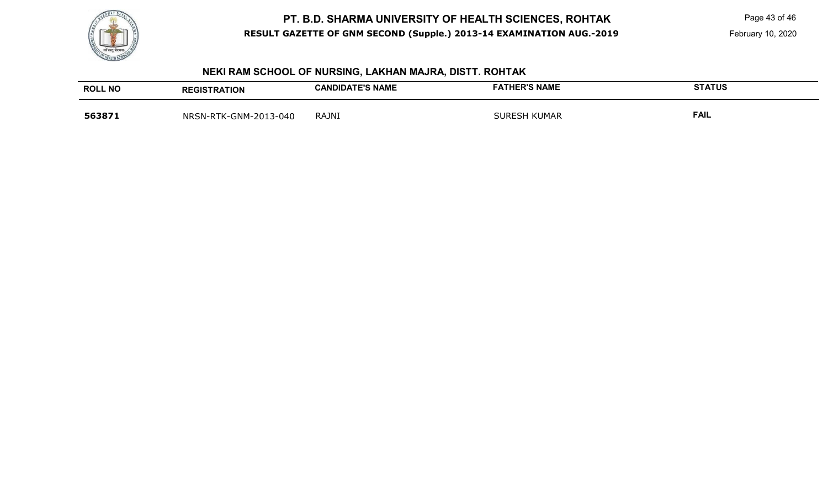

Page 43 of 46

# **NEKI RAM SCHOOL OF NURSING, LAKHAN MAJRA, DISTT. ROHTAK**

| <b>ROLL NO</b> | <b>REGISTRATION</b>   | <b>CANDIDATE'S NAME</b> | <b>FATHER'S NAME</b> | <b>STATUS</b> |
|----------------|-----------------------|-------------------------|----------------------|---------------|
| 563871         | NRSN-RTK-GNM-2013-040 | <b>RAJNI</b>            | <b>SURESH KUMAR</b>  | <b>FAIL</b>   |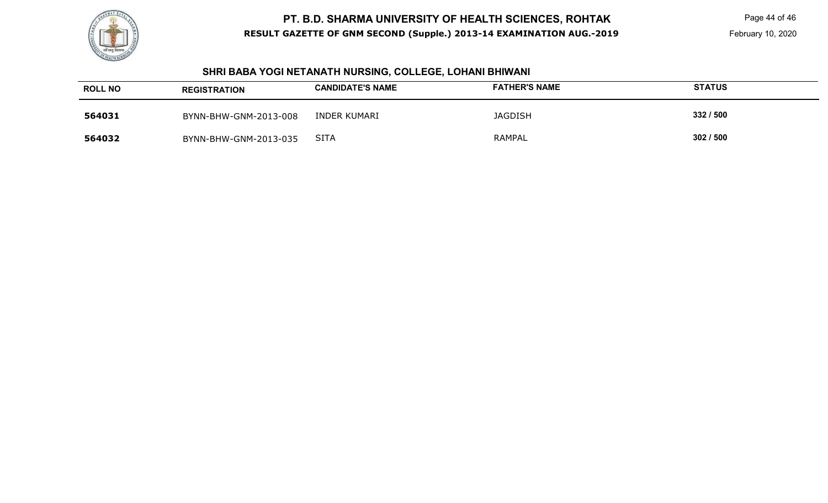

Page 44 of 46

February 10, 2020

#### **SHRI BABA YOGI NETANATH NURSING, COLLEGE, LOHANI BHIWANI**

| <b>ROLL NO</b> | <b>REGISTRATION</b>   | <b>CANDIDATE'S NAME</b> | <b>FATHER'S NAME</b> | <b>STATUS</b> |
|----------------|-----------------------|-------------------------|----------------------|---------------|
| 564031         | BYNN-BHW-GNM-2013-008 | INDER KUMARI            | <b>JAGDISH</b>       | 332 / 500     |
| 564032         | BYNN-BHW-GNM-2013-035 | <b>SITA</b>             | <b>RAMPAL</b>        | 302 / 500     |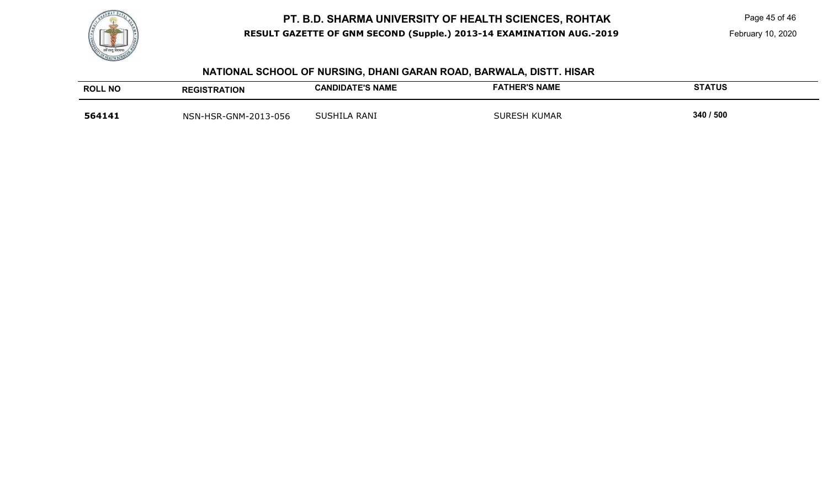

Page 45 of 46

# **NATIONAL SCHOOL OF NURSING, DHANI GARAN ROAD, BARWALA, DISTT. HISAR**

| <b>ROLL NO</b> | <b>REGISTRATION</b>  | <b>CANDIDATE'S NAME</b> | <b>FATHER'S NAME</b> | <b>STATUS</b> |
|----------------|----------------------|-------------------------|----------------------|---------------|
| 564141         | NSN-HSR-GNM-2013-056 | SUSHILA RANI            | <b>SURESH KUMAR</b>  | 340 / 500     |